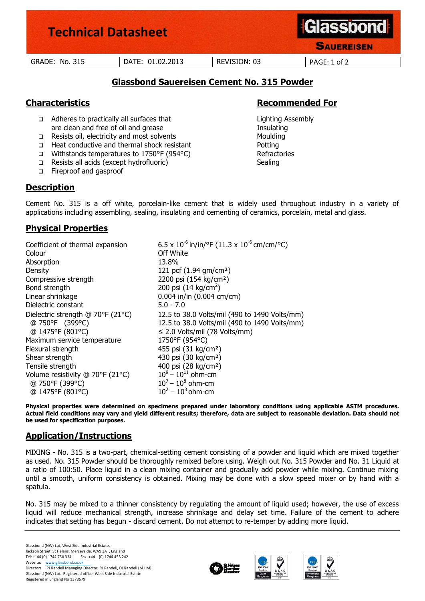| <b>Technical Datasheet</b> |                  |              | <b>Glassbond</b><br><b>SAUEREISEN</b> |
|----------------------------|------------------|--------------|---------------------------------------|
| <b>GRADE: No. 315</b>      | DATE: 01.02.2013 | REVISION: 03 | PAGE: 1 of 2                          |

# **Glassbond Sauereisen Cement No. 315 Powder**

- Adheres to practically all surfaces that Lighting Assembly are clean and free of oil and grease Insulating Insulating
- □ Resists oil, electricity and most solvents Moulding
- □ Heat conductive and thermal shock resistant <br>
Potting
- Withstands temperatures to 1750°F (954°C) Refractories
- □ Resists all acids (except hydrofluoric) Sealing
- Fireproof and gasproof

# **Description**

# **Characteristics Recommended For**

Cement No. 315 is a off white, porcelain-like cement that is widely used throughout industry in a variety of applications including assembling, sealing, insulating and cementing of ceramics, porcelain, metal and glass.

# **Physical Properties**

Coefficient of thermal expansion  $6.5 \times 10^{-6}$  in/in/°F (11.3 x 10<sup>-6</sup> cm/cm/°C) Colour **Colour Off White** Absorption 13.8% Density 121 pcf (1.94 gm/cm²) Compressive strength 2200 psi (154 kg/cm²) Bond strength  $200 \text{ psi} (14 \text{ kg/cm}^2)$ Linear shrinkage 0.004 in/in (0.004 cm/cm) Dielectric constant 5.0 - 7.0 Dielectric strength @ 70°F (21°C) @ 750°F (399°C) @ 1475°F (801°C) 12.5 to 38.0 Volts/mil (490 to 1490 Volts/mm) 12.5 to 38.0 Volts/mil (490 to 1490 Volts/mm) ≤ 2.0 Volts/mil (78 Volts/mm) Maximum service temperature 1750°F (954°C) Flexural strength 455 psi (31 kg/cm²) Shear strength 430 psi (30 kg/cm<sup>2</sup>) Tensile strength 400 psi (28 kg/cm<sup>2</sup>) Volume resistivity @ 70°F (21°C) @ 750°F (399°C) @ 1475°F (801°C)  $10^9 - 10^{11}$  ohm-cm  $10^{7} - 10^{8}$  ohm-cm  $10^2 - 10^3$  ohm-cm

**Physical properties were determined on specimens prepared under laboratory conditions using applicable ASTM procedures. Actual field conditions may vary and yield different results; therefore, data are subject to reasonable deviation. Data should not be used for specification purposes.**

# **Application/Instructions**

MIXING - No. 315 is a two-part, chemical-setting cement consisting of a powder and liquid which are mixed together as used. No. 315 Powder should be thoroughly remixed before using. Weigh out No. 315 Powder and No. 31 Liquid at a ratio of 100:50. Place liquid in a clean mixing container and gradually add powder while mixing. Continue mixing until a smooth, uniform consistency is obtained. Mixing may be done with a slow speed mixer or by hand with a spatula.

No. 315 may be mixed to a thinner consistency by regulating the amount of liquid used; however, the use of excess liquid will reduce mechanical strength, increase shrinkage and delay set time. Failure of the cement to adhere indicates that setting has begun - discard cement. Do not attempt to re-temper by adding more liquid.